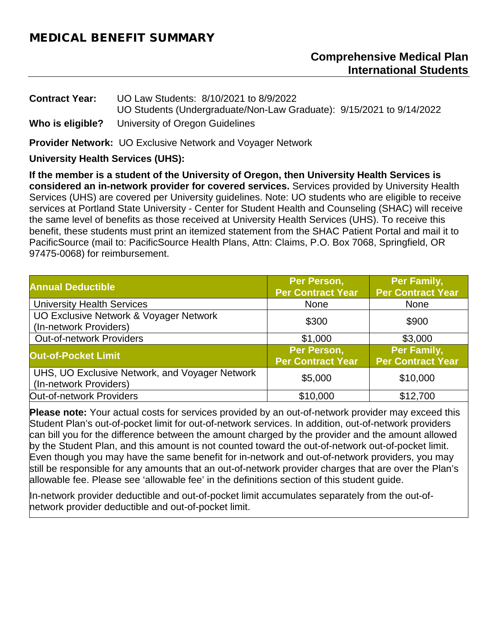## MEDICAL BENEFIT SUMMARY

#### **Comprehensive Medical Plan International Students**

**Contract Year:** UO Law Students: 8/10/2021 to 8/9/2022 UO Students (Undergraduate/Non-Law Graduate): 9/15/2021 to 9/14/2022 **Who is eligible?** University of Oregon Guidelines

**Provider Network:** UO Exclusive Network and Voyager Network

**University Health Services (UHS):** 

**If the member is a student of the University of Oregon, then University Health Services is considered an in-network provider for covered services.** Services provided by University Health Services (UHS) are covered per University guidelines. Note: UO students who are eligible to receive services at Portland State University - Center for Student Health and Counseling (SHAC) will receive the same level of benefits as those received at University Health Services (UHS). To receive this benefit, these students must print an itemized statement from the SHAC Patient Portal and mail it to PacificSource (mail to: PacificSource Health Plans, Attn: Claims, P.O. Box 7068, Springfield, OR 97475-0068) for reimbursement.

| <b>Annual Deductible</b>                                                 | Per Person,<br><b>Per Contract Year</b> | Per Family,<br><b>Per Contract Year</b> |
|--------------------------------------------------------------------------|-----------------------------------------|-----------------------------------------|
| <b>University Health Services</b>                                        | <b>None</b>                             | <b>None</b>                             |
| UO Exclusive Network & Voyager Network<br>(In-network Providers)         | \$300                                   | \$900                                   |
| <b>Out-of-network Providers</b>                                          | \$1,000                                 | \$3,000                                 |
| <b>Out-of-Pocket Limit</b>                                               | Per Person,<br><b>Per Contract Year</b> | Per Family,<br><b>Per Contract Year</b> |
| UHS, UO Exclusive Network, and Voyager Network<br>(In-network Providers) | \$5,000                                 | \$10,000                                |
| Out-of-network Providers                                                 | \$10,000                                | \$12,700                                |

**Please note:** Your actual costs for services provided by an out-of-network provider may exceed this Student Plan's out-of-pocket limit for out-of-network services. In addition, out-of-network providers can bill you for the difference between the amount charged by the provider and the amount allowed by the Student Plan, and this amount is not counted toward the out-of-network out-of-pocket limit. Even though you may have the same benefit for in-network and out-of-network providers, you may still be responsible for any amounts that an out-of-network provider charges that are over the Plan's allowable fee. Please see 'allowable fee' in the definitions section of this student guide.

In-network provider deductible and out-of-pocket limit accumulates separately from the out-ofnetwork provider deductible and out-of-pocket limit.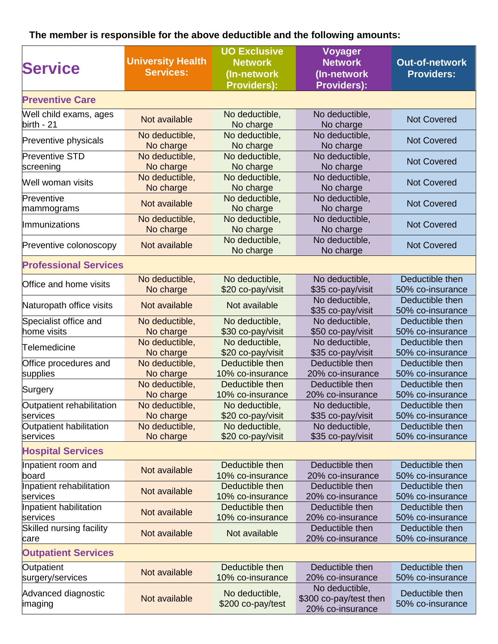# **The member is responsible for the above deductible and the following amounts:**

| <b>Service</b>                         | <b>UO Exclusive</b><br><b>University Health</b><br><b>Network</b><br><b>Services:</b><br>(In-network<br><b>Providers):</b> |                                     | <b>Voyager</b><br><b>Network</b><br>(In-network<br><b>Providers):</b> | <b>Out-of-network</b><br><b>Providers:</b> |
|----------------------------------------|----------------------------------------------------------------------------------------------------------------------------|-------------------------------------|-----------------------------------------------------------------------|--------------------------------------------|
| <b>Preventive Care</b>                 |                                                                                                                            |                                     |                                                                       |                                            |
| Well child exams, ages<br>$birth - 21$ | Not available                                                                                                              | No deductible,<br>No charge         | No deductible,<br>No charge                                           | <b>Not Covered</b>                         |
| Preventive physicals                   | No deductible,<br>No charge                                                                                                | No deductible,<br>No charge         | No deductible,<br>No charge                                           | <b>Not Covered</b>                         |
| <b>Preventive STD</b><br>screening     | No deductible,<br>No charge                                                                                                | No deductible,<br>No charge         | No deductible,<br>No charge                                           | <b>Not Covered</b>                         |
| Well woman visits                      | No deductible,<br>No charge                                                                                                | No deductible,<br>No charge         | No deductible,<br>No charge                                           | <b>Not Covered</b>                         |
| Preventive<br>mammograms               | Not available                                                                                                              | No deductible,<br>No charge         | No deductible,<br>No charge                                           | <b>Not Covered</b>                         |
| Immunizations                          | No deductible,<br>No charge                                                                                                | No deductible,<br>No charge         | No deductible,<br>No charge                                           | <b>Not Covered</b>                         |
| Preventive colonoscopy                 | Not available                                                                                                              | No deductible,<br>No charge         | No deductible,<br>No charge                                           | <b>Not Covered</b>                         |
| <b>Professional Services</b>           |                                                                                                                            |                                     |                                                                       |                                            |
| Office and home visits                 | No deductible,<br>No charge                                                                                                | No deductible,<br>\$20 co-pay/visit | No deductible,<br>\$35 co-pay/visit                                   | Deductible then<br>50% co-insurance        |
| Naturopath office visits               | Not available                                                                                                              | Not available                       | No deductible,<br>\$35 co-pay/visit                                   | Deductible then<br>50% co-insurance        |
| Specialist office and<br>home visits   | No deductible,<br>No charge                                                                                                | No deductible,<br>\$30 co-pay/visit | No deductible,<br>\$50 co-pay/visit                                   | Deductible then<br>50% co-insurance        |
| Telemedicine                           | No deductible,<br>No charge                                                                                                | No deductible,<br>\$20 co-pay/visit | No deductible,<br>\$35 co-pay/visit                                   | Deductible then<br>50% co-insurance        |
| Office procedures and<br>supplies      | No deductible,<br>No charge                                                                                                | Deductible then<br>10% co-insurance | Deductible then<br>20% co-insurance                                   | Deductible then<br>50% co-insurance        |
| Surgery                                | No deductible,<br>No charge                                                                                                | Deductible then<br>10% co-insurance | Deductible then<br>20% co-insurance                                   | Deductible then<br>50% co-insurance        |
| Outpatient rehabilitation<br>services  | No deductible,<br>No charge                                                                                                | No deductible,<br>\$20 co-pay/visit | No deductible,<br>\$35 co-pay/visit                                   | Deductible then<br>50% co-insurance        |
| Outpatient habilitation<br>services    | No deductible,<br>No charge                                                                                                | No deductible,<br>\$20 co-pay/visit | No deductible,<br>\$35 co-pay/visit                                   | Deductible then<br>50% co-insurance        |
| <b>Hospital Services</b>               |                                                                                                                            |                                     |                                                                       |                                            |
| Inpatient room and<br>board            | Not available                                                                                                              | Deductible then<br>10% co-insurance | Deductible then<br>20% co-insurance                                   | Deductible then<br>50% co-insurance        |
| Inpatient rehabilitation<br>services   | Not available                                                                                                              | Deductible then<br>10% co-insurance | Deductible then<br>20% co-insurance                                   | Deductible then<br>50% co-insurance        |
| Inpatient habilitation<br>services     | Not available                                                                                                              | Deductible then<br>10% co-insurance | Deductible then<br>20% co-insurance                                   | Deductible then<br>50% co-insurance        |
| Skilled nursing facility<br>care       | Not available                                                                                                              | Not available                       | Deductible then<br>20% co-insurance                                   | Deductible then<br>50% co-insurance        |
| <b>Outpatient Services</b>             |                                                                                                                            |                                     |                                                                       |                                            |
| Outpatient<br>surgery/services         | Not available                                                                                                              | Deductible then<br>10% co-insurance | Deductible then<br>20% co-insurance                                   | Deductible then<br>50% co-insurance        |
| Advanced diagnostic<br>imaging         | Not available                                                                                                              | No deductible,<br>\$200 co-pay/test | No deductible,<br>\$300 co-pay/test then<br>20% co-insurance          | Deductible then<br>50% co-insurance        |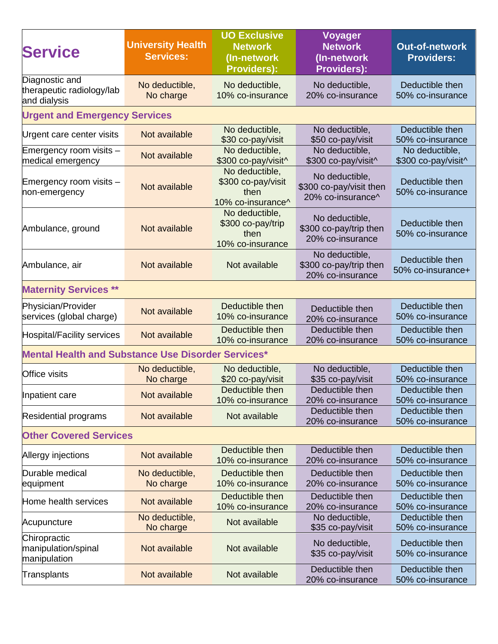| <b>Service</b>                                              | <b>University Health</b><br><b>Services:</b> | <b>UO Exclusive</b><br><b>Network</b><br>(In-network)<br><b>Providers):</b> | <b>Voyager</b><br><b>Network</b><br>(In-network<br><b>Providers):</b> | <b>Out-of-network</b><br><b>Providers:</b> |
|-------------------------------------------------------------|----------------------------------------------|-----------------------------------------------------------------------------|-----------------------------------------------------------------------|--------------------------------------------|
| Diagnostic and<br>therapeutic radiology/lab<br>and dialysis | No deductible,<br>No charge                  | No deductible,<br>10% co-insurance                                          | No deductible,<br>20% co-insurance                                    | Deductible then<br>50% co-insurance        |
| <b>Urgent and Emergency Services</b>                        |                                              |                                                                             |                                                                       |                                            |
| Urgent care center visits                                   | Not available                                | No deductible,<br>\$30 co-pay/visit                                         | No deductible,<br>\$50 co-pay/visit                                   | Deductible then<br>50% co-insurance        |
| Emergency room visits -<br>medical emergency                | Not available                                | No deductible,<br>\$300 co-pay/visit^                                       | No deductible,<br>\$300 co-pay/visit^                                 | No deductible,<br>\$300 co-pay/visit^      |
| Emergency room visits –<br>non-emergency                    | Not available                                | No deductible,<br>\$300 co-pay/visit<br>then<br>10% co-insurance^           | No deductible,<br>\$300 co-pay/visit then<br>20% co-insurance^        | Deductible then<br>50% co-insurance        |
| Ambulance, ground                                           | Not available                                | No deductible,<br>\$300 co-pay/trip<br>then<br>10% co-insurance             | No deductible,<br>\$300 co-pay/trip then<br>20% co-insurance          | Deductible then<br>50% co-insurance        |
| Ambulance, air                                              | Not available                                | Not available                                                               | No deductible,<br>\$300 co-pay/trip then<br>20% co-insurance          | Deductible then<br>50% co-insurance+       |
| <b>Maternity Services **</b>                                |                                              |                                                                             |                                                                       |                                            |
| Physician/Provider<br>services (global charge)              | Not available                                | Deductible then<br>10% co-insurance                                         | Deductible then<br>20% co-insurance                                   | Deductible then<br>50% co-insurance        |
| Hospital/Facility services                                  | Not available                                | Deductible then<br>10% co-insurance                                         | Deductible then<br>20% co-insurance                                   | Deductible then<br>50% co-insurance        |
| <b>Mental Health and Substance Use Disorder Services*</b>   |                                              |                                                                             |                                                                       |                                            |
| <b>Office visits</b>                                        | No deductible,<br>No charge                  | No deductible,<br>\$20 co-pay/visit                                         | No deductible,<br>\$35 co-pay/visit                                   | Deductible then<br>50% co-insurance        |
| Inpatient care                                              | Not available                                | Deductible then<br>10% co-insurance                                         | Deductible then<br>20% co-insurance                                   | Deductible then<br>50% co-insurance        |
| Residential programs                                        | Not available                                | Not available                                                               | Deductible then<br>20% co-insurance                                   | Deductible then<br>50% co-insurance        |
| <b>Other Covered Services</b>                               |                                              |                                                                             |                                                                       |                                            |
| Allergy injections                                          | Not available                                | Deductible then<br>10% co-insurance                                         | Deductible then<br>20% co-insurance                                   | Deductible then<br>50% co-insurance        |
| Durable medical<br>equipment                                | No deductible,<br>No charge                  | Deductible then<br>10% co-insurance                                         | Deductible then<br>20% co-insurance                                   | Deductible then<br>50% co-insurance        |
| Home health services                                        | Not available                                | Deductible then<br>10% co-insurance                                         | Deductible then<br>20% co-insurance                                   | Deductible then<br>50% co-insurance        |
| Acupuncture                                                 | No deductible,<br>No charge                  | Not available                                                               | No deductible,<br>\$35 co-pay/visit                                   | Deductible then<br>50% co-insurance        |
| Chiropractic<br>manipulation/spinal<br>manipulation         | Not available                                | Not available                                                               | No deductible,<br>\$35 co-pay/visit                                   | Deductible then<br>50% co-insurance        |
| Transplants                                                 | Not available                                | Not available                                                               | Deductible then<br>20% co-insurance                                   | Deductible then<br>50% co-insurance        |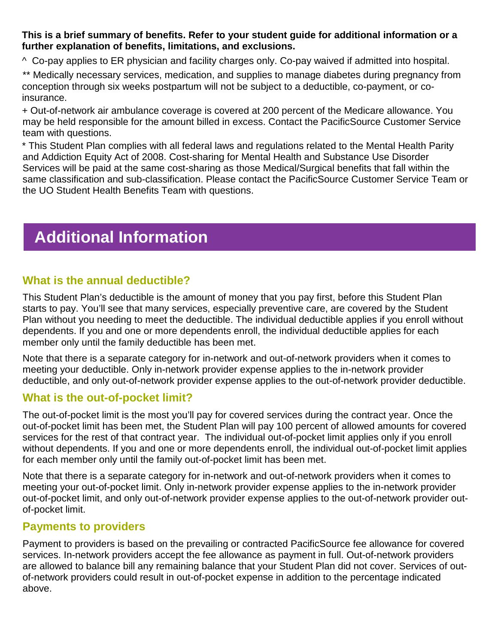#### **This is a brief summary of benefits. Refer to your student guide for additional information or a further explanation of benefits, limitations, and exclusions.**

^ Co-pay applies to ER physician and facility charges only. Co-pay waived if admitted into hospital.

\*\* Medically necessary services, medication, and supplies to manage diabetes during pregnancy from conception through six weeks postpartum will not be subject to a deductible, co-payment, or coinsurance.

+ Out-of-network air ambulance coverage is covered at 200 percent of the Medicare allowance. You may be held responsible for the amount billed in excess. Contact the PacificSource Customer Service team with questions.

\* This Student Plan complies with all federal laws and regulations related to the Mental Health Parity and Addiction Equity Act of 2008. Cost-sharing for Mental Health and Substance Use Disorder Services will be paid at the same cost-sharing as those Medical/Surgical benefits that fall within the same classification and sub-classification. Please contact the PacificSource Customer Service Team or the UO Student Health Benefits Team with questions.

# **Additional Information**

## **What is the annual deductible?**

This Student Plan's deductible is the amount of money that you pay first, before this Student Plan starts to pay. You'll see that many services, especially preventive care, are covered by the Student Plan without you needing to meet the deductible. The individual deductible applies if you enroll without dependents. If you and one or more dependents enroll, the individual deductible applies for each member only until the family deductible has been met.

Note that there is a separate category for in-network and out-of-network providers when it comes to meeting your deductible. Only in-network provider expense applies to the in-network provider deductible, and only out-of-network provider expense applies to the out-of-network provider deductible.

### **What is the out-of-pocket limit?**

The out-of-pocket limit is the most you'll pay for covered services during the contract year. Once the out-of-pocket limit has been met, the Student Plan will pay 100 percent of allowed amounts for covered services for the rest of that contract year. The individual out-of-pocket limit applies only if you enroll without dependents. If you and one or more dependents enroll, the individual out-of-pocket limit applies for each member only until the family out-of-pocket limit has been met.

Note that there is a separate category for in-network and out-of-network providers when it comes to meeting your out-of-pocket limit. Only in-network provider expense applies to the in-network provider out-of-pocket limit, and only out-of-network provider expense applies to the out-of-network provider outof-pocket limit.

### **Payments to providers**

Payment to providers is based on the prevailing or contracted PacificSource fee allowance for covered services. In-network providers accept the fee allowance as payment in full. Out-of-network providers are allowed to balance bill any remaining balance that your Student Plan did not cover. Services of outof-network providers could result in out-of-pocket expense in addition to the percentage indicated above.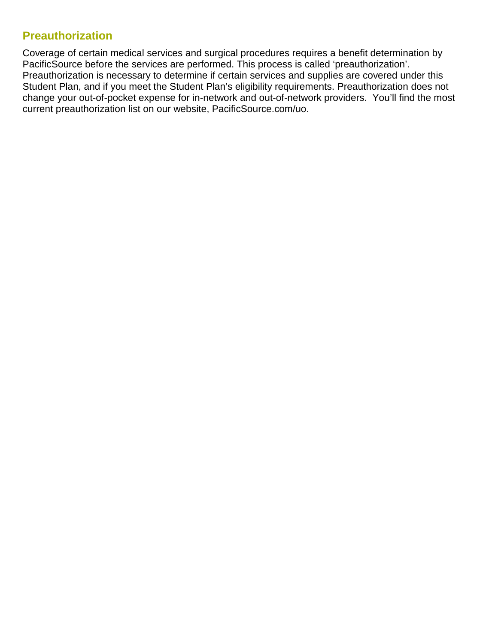## **Preauthorization**

Coverage of certain medical services and surgical procedures requires a benefit determination by PacificSource before the services are performed. This process is called 'preauthorization'. Preauthorization is necessary to determine if certain services and supplies are covered under this Student Plan, and if you meet the Student Plan's eligibility requirements. Preauthorization does not change your out-of-pocket expense for in-network and out-of-network providers. You'll find the most current preauthorization list on our website, PacificSource.com/uo.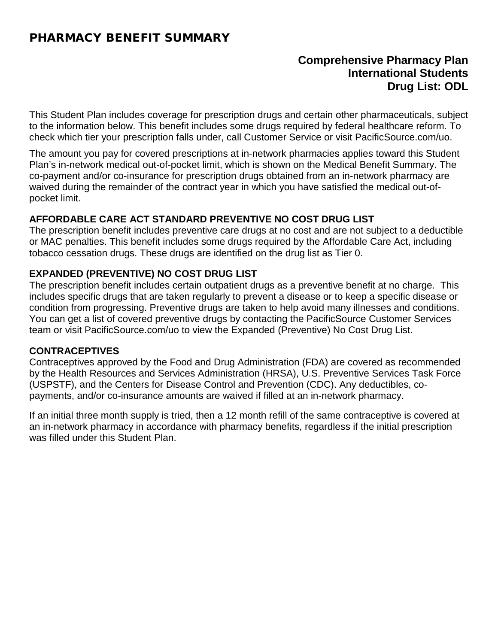# PHARMACY BENEFIT SUMMARY

## **Comprehensive Pharmacy Plan International Students Drug List: ODL**

This Student Plan includes coverage for prescription drugs and certain other pharmaceuticals, subject to the information below. This benefit includes some drugs required by federal healthcare reform. To check which tier your prescription falls under, call Customer Service or visit PacificSource.com/uo.

The amount you pay for covered prescriptions at in-network pharmacies applies toward this Student Plan's in-network medical out-of-pocket limit, which is shown on the Medical Benefit Summary. The co-payment and/or co-insurance for prescription drugs obtained from an in-network pharmacy are waived during the remainder of the contract year in which you have satisfied the medical out-ofpocket limit.

#### **AFFORDABLE CARE ACT STANDARD PREVENTIVE NO COST DRUG LIST**

The prescription benefit includes preventive care drugs at no cost and are not subject to a deductible or MAC penalties. This benefit includes some drugs required by the Affordable Care Act, including tobacco cessation drugs. These drugs are identified on the drug list as Tier 0.

#### **EXPANDED (PREVENTIVE) NO COST DRUG LIST**

The prescription benefit includes certain outpatient drugs as a preventive benefit at no charge. This includes specific drugs that are taken regularly to prevent a disease or to keep a specific disease or condition from progressing. Preventive drugs are taken to help avoid many illnesses and conditions. You can get a list of covered preventive drugs by contacting the PacificSource Customer Services team or visit PacificSource.com/uo to view the Expanded (Preventive) No Cost Drug List.

#### **CONTRACEPTIVES**

Contraceptives approved by the Food and Drug Administration (FDA) are covered as recommended by the Health Resources and Services Administration (HRSA), U.S. Preventive Services Task Force (USPSTF), and the Centers for Disease Control and Prevention (CDC). Any deductibles, copayments, and/or co-insurance amounts are waived if filled at an in-network pharmacy.

If an initial three month supply is tried, then a 12 month refill of the same contraceptive is covered at an in-network pharmacy in accordance with pharmacy benefits, regardless if the initial prescription was filled under this Student Plan.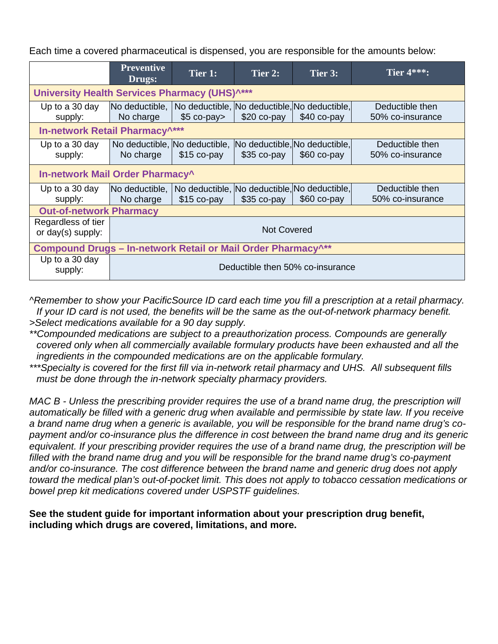Each time a covered pharmaceutical is dispensed, you are responsible for the amounts below:

|                                                                          | <b>Preventive</b><br>Drugs:                                                | Tier 1:                                                      | Tier 2:                                       | Tier 3:      | <b>Tier 4***:</b>                   |
|--------------------------------------------------------------------------|----------------------------------------------------------------------------|--------------------------------------------------------------|-----------------------------------------------|--------------|-------------------------------------|
| University Health Services Pharmacy (UHS) <sup>^***</sup>                |                                                                            |                                                              |                                               |              |                                     |
| Up to a 30 day<br>supply:                                                | No deductible,   No deductible, No deductible, No deductible,<br>No charge | $$5$ co-pay>                                                 | $$20 co-pay$                                  | \$40 co-pay  | Deductible then<br>50% co-insurance |
| In-network Retail Pharmacy^***                                           |                                                                            |                                                              |                                               |              |                                     |
| Up to a 30 day<br>supply:                                                | No charge                                                                  | No deductible, No deductible,<br>$$15$ co-pay                | No deductible, No deductible,<br>$$35$ co-pay | \$60 co-pay  | Deductible then<br>50% co-insurance |
|                                                                          | In-network Mail Order Pharmacy^                                            |                                                              |                                               |              |                                     |
| Up to a 30 day<br>supply:                                                | No deductible,<br>No charge                                                | No deductible, No deductible, No deductible,<br>$$15$ co-pay | $$35$ co-pay                                  | $$60$ co-pay | Deductible then<br>50% co-insurance |
| <b>Out-of-network Pharmacy</b>                                           |                                                                            |                                                              |                                               |              |                                     |
| Regardless of tier<br>or day(s) supply:                                  | <b>Not Covered</b>                                                         |                                                              |                                               |              |                                     |
| Compound Drugs - In-network Retail or Mail Order Pharmacy <sup>^**</sup> |                                                                            |                                                              |                                               |              |                                     |
| Up to a 30 day<br>supply:                                                | Deductible then 50% co-insurance                                           |                                                              |                                               |              |                                     |

*^Remember to show your PacificSource ID card each time you fill a prescription at a retail pharmacy. If your ID card is not used, the benefits will be the same as the out-of-network pharmacy benefit. >Select medications available for a 90 day supply.*

- *\*\*Compounded medications are subject to a preauthorization process. Compounds are generally covered only when all commercially available formulary products have been exhausted and all the ingredients in the compounded medications are on the applicable formulary.*
- *\*\*\*Specialty is covered for the first fill via in-network retail pharmacy and UHS. All subsequent fills must be done through the in-network specialty pharmacy providers.*

*MAC B - Unless the prescribing provider requires the use of a brand name drug, the prescription will automatically be filled with a generic drug when available and permissible by state law. If you receive a brand name drug when a generic is available, you will be responsible for the brand name drug's copayment and/or co-insurance plus the difference in cost between the brand name drug and its generic equivalent. If your prescribing provider requires the use of a brand name drug, the prescription will be*  filled with the brand name drug and you will be responsible for the brand name drug's co-payment *and/or co-insurance. The cost difference between the brand name and generic drug does not apply toward the medical plan's out-of-pocket limit. This does not apply to tobacco cessation medications or bowel prep kit medications covered under USPSTF guidelines.*

**See the student guide for important information about your prescription drug benefit, including which drugs are covered, limitations, and more.**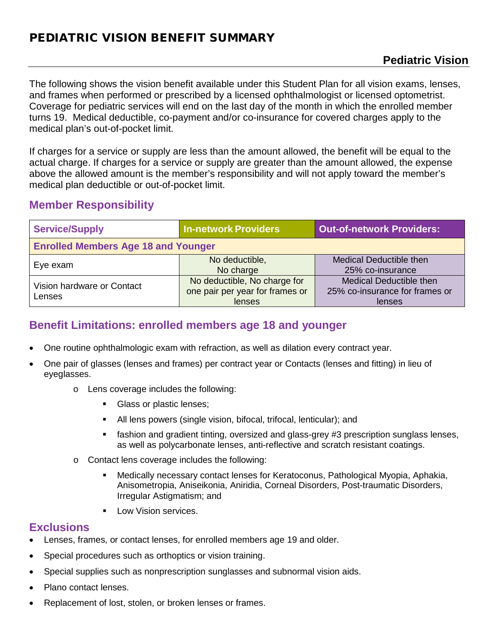# PEDIATRIC VISION BENEFIT SUMMARY

# **Pediatric Vision**

The following shows the vision benefit available under this Student Plan for all vision exams, lenses, and frames when performed or prescribed by a licensed ophthalmologist or licensed optometrist. Coverage for pediatric services will end on the last day of the month in which the enrolled member turns 19. Medical deductible, co-payment and/or co-insurance for covered charges apply to the medical plan's out-of-pocket limit.

If charges for a service or supply are less than the amount allowed, the benefit will be equal to the actual charge. If charges for a service or supply are greater than the amount allowed, the expense above the allowed amount is the member's responsibility and will not apply toward the member's medical plan deductible or out-of-pocket limit.

## **Member Responsibility**

| <b>Service/Supply</b>                      | <b>In-network Providers</b>                                               | <b>Out-of-network Providers:</b>                                           |  |  |
|--------------------------------------------|---------------------------------------------------------------------------|----------------------------------------------------------------------------|--|--|
| <b>Enrolled Members Age 18 and Younger</b> |                                                                           |                                                                            |  |  |
| Eye exam                                   | No deductible,<br>No charge                                               | <b>Medical Deductible then</b><br>25% co-insurance                         |  |  |
| Vision hardware or Contact<br>Lenses       | No deductible, No charge for<br>one pair per year for frames or<br>lenses | <b>Medical Deductible then</b><br>25% co-insurance for frames or<br>lenses |  |  |

# **Benefit Limitations: enrolled members age 18 and younger**

- One routine ophthalmologic exam with refraction, as well as dilation every contract year.
- One pair of glasses (lenses and frames) per contract year or Contacts (lenses and fitting) in lieu of eyeglasses.
	- o Lens coverage includes the following:
		- Glass or plastic lenses;
		- All lens powers (single vision, bifocal, trifocal, lenticular); and
		- **Fashion and gradient tinting, oversized and glass-grey #3 prescription sunglass lenses,** as well as polycarbonate lenses, anti-reflective and scratch resistant coatings.
	- o Contact lens coverage includes the following:
		- Medically necessary contact lenses for Keratoconus, Pathological Myopia, Aphakia, Anisometropia, Aniseikonia, Aniridia, Corneal Disorders, Post-traumatic Disorders, Irregular Astigmatism; and
		- **Low Vision services.**

#### **Exclusions**

- Lenses, frames, or contact lenses, for enrolled members age 19 and older.
- Special procedures such as orthoptics or vision training.
- Special supplies such as nonprescription sunglasses and subnormal vision aids.
- Plano contact lenses.
- Replacement of lost, stolen, or broken lenses or frames.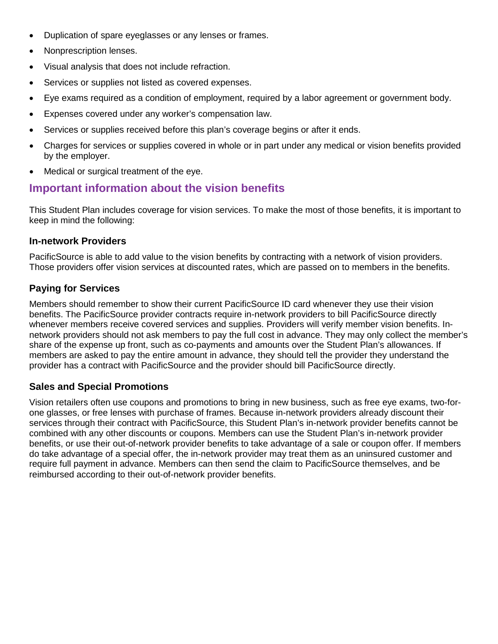- Duplication of spare eyeglasses or any lenses or frames.
- Nonprescription lenses.
- Visual analysis that does not include refraction.
- Services or supplies not listed as covered expenses.
- Eye exams required as a condition of employment, required by a labor agreement or government body.
- Expenses covered under any worker's compensation law.
- Services or supplies received before this plan's coverage begins or after it ends.
- Charges for services or supplies covered in whole or in part under any medical or vision benefits provided by the employer.
- Medical or surgical treatment of the eye.

## **Important information about the vision benefits**

This Student Plan includes coverage for vision services. To make the most of those benefits, it is important to keep in mind the following:

#### **In-network Providers**

PacificSource is able to add value to the vision benefits by contracting with a network of vision providers. Those providers offer vision services at discounted rates, which are passed on to members in the benefits.

#### **Paying for Services**

Members should remember to show their current PacificSource ID card whenever they use their vision benefits. The PacificSource provider contracts require in-network providers to bill PacificSource directly whenever members receive covered services and supplies. Providers will verify member vision benefits. Innetwork providers should not ask members to pay the full cost in advance. They may only collect the member's share of the expense up front, such as co-payments and amounts over the Student Plan's allowances. If members are asked to pay the entire amount in advance, they should tell the provider they understand the provider has a contract with PacificSource and the provider should bill PacificSource directly.

#### **Sales and Special Promotions**

Vision retailers often use coupons and promotions to bring in new business, such as free eye exams, two-forone glasses, or free lenses with purchase of frames. Because in-network providers already discount their services through their contract with PacificSource, this Student Plan's in-network provider benefits cannot be combined with any other discounts or coupons. Members can use the Student Plan's in-network provider benefits, or use their out-of-network provider benefits to take advantage of a sale or coupon offer. If members do take advantage of a special offer, the in-network provider may treat them as an uninsured customer and require full payment in advance. Members can then send the claim to PacificSource themselves, and be reimbursed according to their out-of-network provider benefits.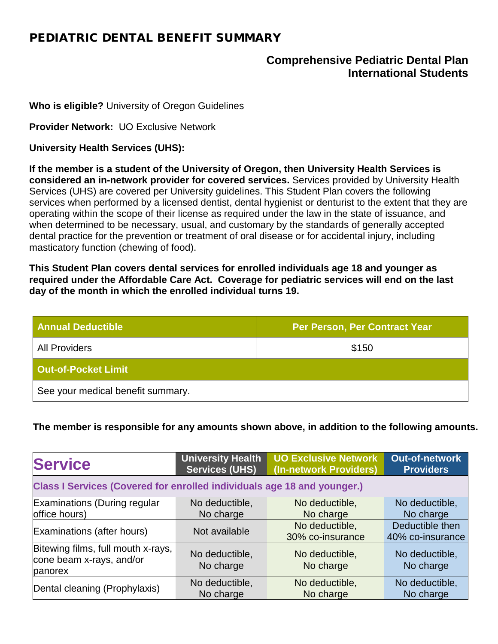# PEDIATRIC DENTAL BENEFIT SUMMARY

# **Comprehensive Pediatric Dental Plan International Students**

**Who is eligible?** University of Oregon Guidelines

**Provider Network:** UO Exclusive Network

**University Health Services (UHS):** 

**If the member is a student of the University of Oregon, then University Health Services is considered an in-network provider for covered services.** Services provided by University Health Services (UHS) are covered per University guidelines. This Student Plan covers the following services when performed by a licensed dentist, dental hygienist or denturist to the extent that they are operating within the scope of their license as required under the law in the state of issuance, and when determined to be necessary, usual, and customary by the standards of generally accepted dental practice for the prevention or treatment of oral disease or for accidental injury, including masticatory function (chewing of food).

**This Student Plan covers dental services for enrolled individuals age 18 and younger as required under the Affordable Care Act. Coverage for pediatric services will end on the last day of the month in which the enrolled individual turns 19.**

| <b>Annual Deductible</b>          | <b>Per Person, Per Contract Year</b> |
|-----------------------------------|--------------------------------------|
| <b>All Providers</b>              | \$150                                |
| <b>Out-of-Pocket Limit</b>        |                                      |
| See your medical benefit summary. |                                      |

**The member is responsible for any amounts shown above, in addition to the following amounts.**

| <b>Service</b>                                                                 | <b>University Health</b><br><b>Services (UHS)</b> | UO Exclusive Network<br>(In-network Providers) | Out-of-network<br><b>Providers</b> |
|--------------------------------------------------------------------------------|---------------------------------------------------|------------------------------------------------|------------------------------------|
| <b>Class I Services (Covered for enrolled individuals age 18 and younger.)</b> |                                                   |                                                |                                    |
| Examinations (During regular                                                   | No deductible,                                    | No deductible,                                 | No deductible,                     |
| office hours)                                                                  | No charge                                         | No charge                                      | No charge                          |
| Examinations (after hours)                                                     | Not available                                     | No deductible,                                 | Deductible then                    |
|                                                                                |                                                   | 30% co-insurance                               | 40% co-insurance                   |
| Bitewing films, full mouth x-rays,<br>cone beam x-rays, and/or<br>panorex      | No deductible,<br>No charge                       | No deductible,<br>No charge                    | No deductible,<br>No charge        |
| Dental cleaning (Prophylaxis)                                                  | No deductible,<br>No charge                       | No deductible,<br>No charge                    | No deductible,<br>No charge        |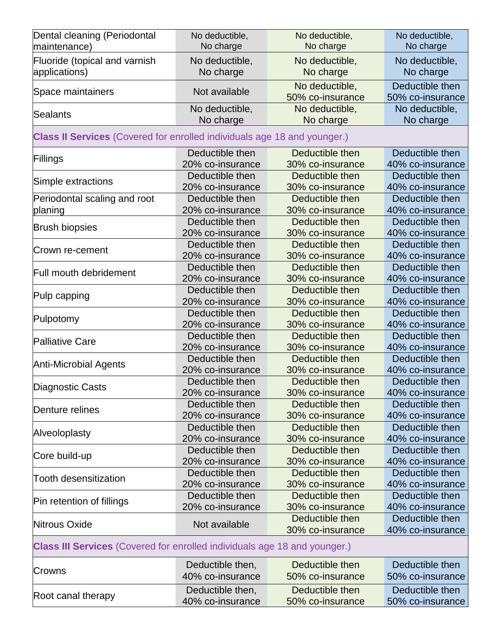| Dental cleaning (Periodontal<br>maintenance)                                     | No deductible,<br>No charge | No deductible,<br>No charge | No deductible,<br>No charge |  |
|----------------------------------------------------------------------------------|-----------------------------|-----------------------------|-----------------------------|--|
| Fluoride (topical and varnish                                                    | No deductible,              | No deductible,              | No deductible,              |  |
| applications)                                                                    | No charge                   | No charge                   | No charge                   |  |
| Space maintainers                                                                | Not available               | No deductible,              | Deductible then             |  |
|                                                                                  |                             | 50% co-insurance            | 50% co-insurance            |  |
| Sealants                                                                         | No deductible,              | No deductible,<br>No charge | No deductible,              |  |
|                                                                                  | No charge                   |                             | No charge                   |  |
| <b>Class II Services</b> (Covered for enrolled individuals age 18 and younger.)  |                             |                             |                             |  |
| Fillings                                                                         | Deductible then             | Deductible then             | Deductible then             |  |
|                                                                                  | 20% co-insurance            | 30% co-insurance            | 40% co-insurance            |  |
| Simple extractions                                                               | Deductible then             | Deductible then             | Deductible then             |  |
|                                                                                  | 20% co-insurance            | 30% co-insurance            | 40% co-insurance            |  |
| Periodontal scaling and root                                                     | Deductible then             | Deductible then             | Deductible then             |  |
| planing                                                                          | 20% co-insurance            | 30% co-insurance            | 40% co-insurance            |  |
| <b>Brush biopsies</b>                                                            | Deductible then             | Deductible then             | Deductible then             |  |
|                                                                                  | 20% co-insurance            | 30% co-insurance            | 40% co-insurance            |  |
|                                                                                  | Deductible then             | Deductible then             | Deductible then             |  |
| Crown re-cement                                                                  | 20% co-insurance            | 30% co-insurance            | 40% co-insurance            |  |
| Full mouth debridement                                                           | Deductible then             | Deductible then             | Deductible then             |  |
|                                                                                  | 20% co-insurance            | 30% co-insurance            | 40% co-insurance            |  |
|                                                                                  | Deductible then             | Deductible then             | Deductible then             |  |
| Pulp capping                                                                     | 20% co-insurance            | 30% co-insurance            | 40% co-insurance            |  |
|                                                                                  | Deductible then             | Deductible then             | Deductible then             |  |
| Pulpotomy                                                                        | 20% co-insurance            | 30% co-insurance            | 40% co-insurance            |  |
|                                                                                  | Deductible then             | Deductible then             | Deductible then             |  |
| <b>Palliative Care</b>                                                           | 20% co-insurance            | 30% co-insurance            | 40% co-insurance            |  |
|                                                                                  | Deductible then             | Deductible then             | Deductible then             |  |
| <b>Anti-Microbial Agents</b>                                                     | 20% co-insurance            | 30% co-insurance            | 40% co-insurance            |  |
|                                                                                  | Deductible then             | Deductible then             | Deductible then             |  |
| Diagnostic Casts                                                                 | 20% co-insurance            | 30% co-insurance            | 40% co-insurance            |  |
|                                                                                  | Deductible then             | Deductible then             | Deductible then             |  |
| Denture relines                                                                  | 20% co-insurance            | 30% co-insurance            | 40% co-insurance            |  |
|                                                                                  | Deductible then             | Deductible then             | Deductible then             |  |
| Alveoloplasty                                                                    | 20% co-insurance            | 30% co-insurance            | 40% co-insurance            |  |
|                                                                                  | Deductible then             | Deductible then             | Deductible then             |  |
| Core build-up                                                                    | 20% co-insurance            | 30% co-insurance            | 40% co-insurance            |  |
| <b>Tooth desensitization</b>                                                     | Deductible then             | Deductible then             | Deductible then             |  |
|                                                                                  | 20% co-insurance            | 30% co-insurance            | 40% co-insurance            |  |
|                                                                                  | Deductible then             | Deductible then             | Deductible then             |  |
| Pin retention of fillings                                                        | 20% co-insurance            | 30% co-insurance            | 40% co-insurance            |  |
|                                                                                  |                             | Deductible then             | Deductible then             |  |
| Nitrous Oxide                                                                    | Not available               | 30% co-insurance            | 40% co-insurance            |  |
| <b>Class III Services</b> (Covered for enrolled individuals age 18 and younger.) |                             |                             |                             |  |
|                                                                                  | Deductible then,            | Deductible then             | Deductible then             |  |
| Crowns                                                                           | 40% co-insurance            | 50% co-insurance            | 50% co-insurance            |  |
|                                                                                  |                             |                             |                             |  |
| Root canal therapy                                                               | Deductible then,            | Deductible then             | Deductible then             |  |
|                                                                                  | 40% co-insurance            | 50% co-insurance            | 50% co-insurance            |  |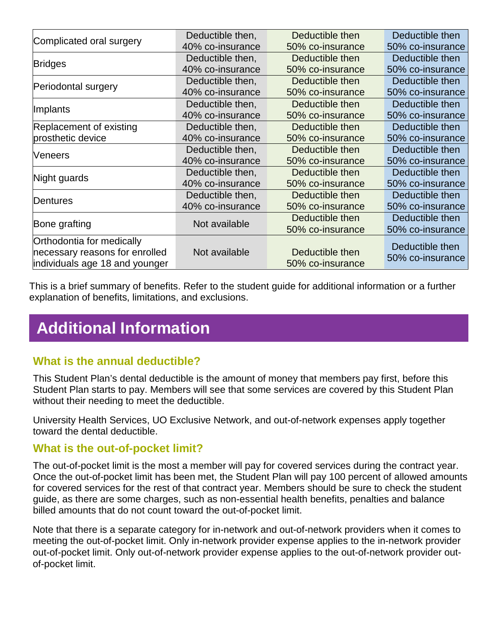| Complicated oral surgery       | Deductible then, | Deductible then  | Deductible then  |
|--------------------------------|------------------|------------------|------------------|
|                                | 40% co-insurance | 50% co-insurance | 50% co-insurance |
| <b>Bridges</b>                 | Deductible then, | Deductible then  | Deductible then  |
|                                | 40% co-insurance | 50% co-insurance | 50% co-insurance |
| Periodontal surgery            | Deductible then, | Deductible then  | Deductible then  |
|                                | 40% co-insurance | 50% co-insurance | 50% co-insurance |
| Implants                       | Deductible then, | Deductible then  | Deductible then  |
|                                | 40% co-insurance | 50% co-insurance | 50% co-insurance |
| Replacement of existing        | Deductible then, | Deductible then  | Deductible then  |
| prosthetic device              | 40% co-insurance | 50% co-insurance | 50% co-insurance |
| Veneers                        | Deductible then, | Deductible then  | Deductible then  |
|                                | 40% co-insurance | 50% co-insurance | 50% co-insurance |
|                                | Deductible then, | Deductible then  | Deductible then  |
| Night guards                   | 40% co-insurance | 50% co-insurance | 50% co-insurance |
| Dentures                       | Deductible then, | Deductible then  | Deductible then  |
|                                | 40% co-insurance | 50% co-insurance | 50% co-insurance |
|                                | Not available    | Deductible then  | Deductible then  |
| Bone grafting                  |                  | 50% co-insurance | 50% co-insurance |
| Orthodontia for medically      |                  |                  | Deductible then  |
| necessary reasons for enrolled | Not available    | Deductible then  |                  |
| individuals age 18 and younger |                  | 50% co-insurance | 50% co-insurance |

This is a brief summary of benefits. Refer to the student guide for additional information or a further explanation of benefits, limitations, and exclusions.

# **Additional Information**

## **What is the annual deductible?**

This Student Plan's dental deductible is the amount of money that members pay first, before this Student Plan starts to pay. Members will see that some services are covered by this Student Plan without their needing to meet the deductible.

University Health Services, UO Exclusive Network, and out-of-network expenses apply together toward the dental deductible.

#### **What is the out-of-pocket limit?**

The out-of-pocket limit is the most a member will pay for covered services during the contract year. Once the out-of-pocket limit has been met, the Student Plan will pay 100 percent of allowed amounts for covered services for the rest of that contract year. Members should be sure to check the student guide, as there are some charges, such as non-essential health benefits, penalties and balance billed amounts that do not count toward the out-of-pocket limit.

Note that there is a separate category for in-network and out-of-network providers when it comes to meeting the out-of-pocket limit. Only in-network provider expense applies to the in-network provider out-of-pocket limit. Only out-of-network provider expense applies to the out-of-network provider outof-pocket limit.